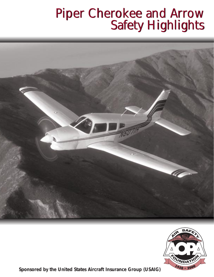## Piper Cherokee and Arrow Safety Highlights Piper Cherokee and Arrow Safety Highlights





*Sponsored by the United States Aircraft Insurance Group (USAIG)*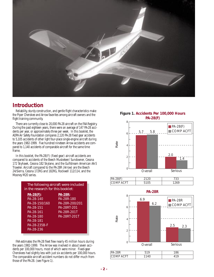

## **Introduction**

Reliability, sturdy construction, and gentle flight characteristics make the Piper Cherokee and Arrow favorites among aircraft owners and the flight training community.

There are currently close to 20,000 PA-28 aircraft on the FAA Registry. During the past eighteen years, there were an average of 147 PA-28 accidents per year, or approximately three per week. In this booklet, the AOPA Air Safety Foundation compares 2,120 PA-28 fixed gear accidents to 5,105 accidents of other light four-place single-engine aircraft during the years 1982-1999. Five hundred nineteen Arrow accidents are compared to 1,140 accidents of comparable aircraft for the same time frame.

In this booklet, the PA-28(F) (fixed gear) aircraft accidents are compared to accidents of the Beech Musketeer/ Sundowner, Cessna 172 Skyhawk, Cessna 182 Skylane, and the Gulfstream American AA-5 Traveler. Aircraft compared to the PA-28R (Arrow) are the Beech 24/Sierra, Cessna 172RG and 182RG, Rockwell 112/114, and the Mooney M20 series.

| The following aircraft were included<br>in the research for this booklet: |                |  |  |  |
|---------------------------------------------------------------------------|----------------|--|--|--|
| $PA-28(F)$ :                                                              | <b>PA-28R:</b> |  |  |  |
| PA-28-140                                                                 | PA-28R-180     |  |  |  |
| PA-28-150/160                                                             | PA-28R-200/201 |  |  |  |
| PA-28-151                                                                 | PA-28RT-201    |  |  |  |
| PA-28-161                                                                 | PA-28R-201T    |  |  |  |
| PA-28-180                                                                 | PA-28RT-201T   |  |  |  |
| PA-28-181                                                                 |                |  |  |  |
| PA-28-235B-F                                                              |                |  |  |  |
| PA-28-236                                                                 |                |  |  |  |

FAA estimates the PA-28 fleet flew nearly 45 million hours during the years 1982-1999. The Arrow was involved in about seven accidents per 100,000 hours, most of which were minor. Fixed-gear Cherokees had slightly less with just six accidents per 100,000 hours. The comparable aircraft accident numbers do not differ much from those of the PA-28. (see Figure 1).





4

6

8



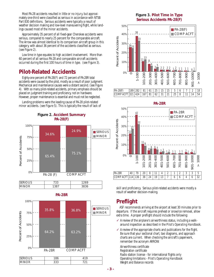Most PA-28 accidents resulted in little or no injury, but approximately one-third were classified as serious in accordance with NTSB Part 830 definitions. Serious accidents were typically a result of weather decision making and low-level maneuvering flight, while landings caused most of the minor accidents.

Approximately 35 percent of all fixed-gear Cherokee accidents were serious, compared to nearly 25 percent for the comparable aircraft. The Arrow was almost identical to its comparison aircraft group in this category, with about 36 percent of the accidents classified as serious. (see Figure 2).

Low time in type equates to high accident involvement. More than 60 percent of all serious PA-28 and comparable aircraft accidents occurred during the first 100 hours of time in type. (see Figure 3).

## **Pilot-Related Accidents**

Eighty-one percent of PA-28(F) and 72 percent of PA-28R total accidents were caused by the pilot, mostly as a result of poor judgment. Mechanical and maintenance causes were a distant second. (see Figure 4). With so many pilot-related accidents, primary emphasis should be placed on judgment training and proficiency, not on hardware. However, proper maintenance is essential and must not be neglected.

Landing problems were the leading cause of PA-28 pilot-related minor accidents. (see Figure 5). This is typically the result of lack of **PA-28R**







#### **Figure 3. Pilot Time in Type Serious Accidents PA-28(F)**







skill and proficiency. Serious pilot-related accidents were mostly a result of weather decision-making.

## **Preflight**

ASF recommends arriving at the airport at least 30 minutes prior to departure. If the aircraft requires preheat or snow/ice removal, allow extra time. A proper preflight should include the following:

- $\checkmark$  A review of the airplane's airworthiness status, including a walkaround inspection as described in the *Pilot's Operating Handbook*.
- $\checkmark$  A review of the appropriate charts and publications for the flight. Be sure that your sectional chart, taxi diagrams, and approach charts are current. When checking the aircraft's paperwork, remember the acronym ARROW:

Airworthiness certificate

Registration certificate

Radio station license - for international flights only Operating limitations - *Pilot's Operating Handbook* Weight and Balance records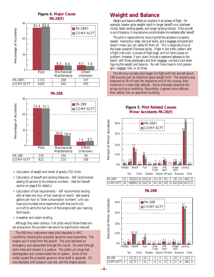



- $\checkmark$  Calculation of weight and center of gravity (CG) limits.
- ✓ Calculation of takeoff and landing distances ASF recommends adding 50 percent to the distance numbers. (See the Takeoff section on page 8 for details.)
- $\checkmark$  Calculation of fuel requirements ASF recommends landing with at least one hour of fuel reserves on board. Add several gallons per hour to "book consumption numbers" until you have accumulated some experience with that *particular aircraft* to verify the fuel burn of that engine with your leaning techniques.
- $\checkmark$  A weather and notam briefing.

Although they seem obvious, if all pilots would follow these simple precautions the accident rate would be significantly reduced.

The 400-hour instrument-rated pilot departed in IMC conditions, knowing the propeller governor was inoperative. The engine quit 4 miles from the airport. The pilot declared an emergency and descended through the clouds. He went through some trees and landed in a pasture. The piston pin plugs had disintegrated and contaminated the oil system. Some of the metal caused the propeller governor drive shaft to separate. Oil was depleted until pressure was lost, and the engine seized.

## **Weight and Balance**

Weight and balance affects an airplane in all phases of flight. For example, heavier gross weights result in longer takeoff runs, shallower climbs, faster landing speeds, and longer landing rollouts. If the aircraft is out of balance, it may become uncontrollable immediately after takeoff.

The pilot is responsible for ensuring that the airplane is properly loaded. Having four seats, two fuel tanks, and a baggage compartment doesn't mean you can safely fill them all. This is especially true of the lower powered Cherokee series. Flight in the traffic pattern with a flight instructor, a couple of flight bags, and full tanks poses no problem. However, if your plans include a weekend getaway to the beach, with three passengers and their baggage, use extra care when figuring the weight and balance. You will likely have to limit passengers, baggage, fuel, or all three.

The 80-hour private pilot began his flight with the aircraft about 198 pounds over its maximum gross weight limit. The airplane was observed to lift off near the departure end of the runway, then continue in a nose-high attitude. Some witnesses observed the wings rocking or wobbling. Reportedly, it gained some altitude, then settled into an apartment building.

**Figure 5. Pilot Related Causes** 



#### **PA-28R**

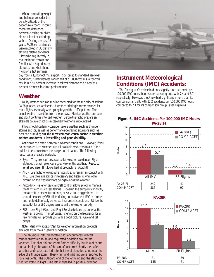When computing weight and balance, consider the density altitude of the departure airport. It could mean the difference between clearing an obstacle on takeoff or colliding with it. During the past 18 years, PA-28 series aircraft were involved in 38 density altitude related accidents. Pilots who regularly fly in mountainous terrain are familiar with high-density altitudes, but what about flying on a hot summer



day from a 1,000-foot msl airport? Compared to standard sea-level conditions, ninety degrees Fahrenheit at a 1,000-foot msl airport will result in a *50 percent* increase in takeoff distance and a nearly *30 percent* decrease in climb performance.

## **Weather**

Faulty weather decision making accounted for the majority of serious PA-28 pilot-caused accidents. A weather briefing is recommended for most flights, especially when going beyond the traffic pattern. The actual weather may differ from the forecast. Monitor weather en route, and don't continue into bad weather. Before the flight, prepare an alternate course of action in case bad weather is encountered.

Pilots should certainly consider severe weather such as thunderstorms and ice, as well as performance-degrading situations such as heat and humidity, **but the most common causal factor in weatherrelated accidents is low ceiling and poor visibility.**

Anticipate and avoid hazardous weather conditions. However, if you do encounter such weather, use all available resources to aid in the quickest departure from the dangerous situation. The following resources are readily available:

- ✓ Eyes They are your best source for weather avoidance. Fly at altitudes that will give you a good view of the weather. **React to what you see.** If it looks bad, it probably is. Avoid it!
- $\checkmark$  ATC Use flight following when possible, to remain in contact with ATC. Use their assistance if necessary and listen to what other aircraft on the frequency are doing to avoid the weather.
- $\checkmark$  Autopilot Relief of basic aircraft control allows pilots to manage the flight with much less fatigue. However, the autopilot cannot fly the aircraft in severe turbulence, or solve an icing problem. It should be used by VFR pilots during an inadvertent IMC encounter, but not to deliberately penetrate instrument conditions. Utilize the autopilot for a 180-degree turn to exit the weather quickly.
- $\checkmark$  FSS Use Flight Watch and Flight Service to keep up on what the weather is doing. In most cases, listening on the frequency for a few minutes will provide you with a good picture. Give and get pireps.

Note: Visit www.aopa.org/asf for weather information products available from the Air Safety Foundation.

The 760-hour instrument-rated pilot encountered forecast thunderstorms en route and requested deviation around the weather. The pilot did not report further difficulty, but loss of control and an in-flight breakup of the aircraft occurred shortly thereafter. Weather and radar data indicate that the airplane broke up near the edge of a thunderstorm. Heavy rain and lightning were reported by local residents. The outboard end of the left wing and the stabilator had separated in flight. The left wing failed in positive overload.

## **Instrument Meteorological Conditions (IMC) Accidents:**

The fixed-gear Cherokee had only slightly more accidents per 100,000 IMC hours than its comparison group, with 7.4 and 5.7, respectively. However, the Arrow had significantly more than its comparison aircraft, with 12.2 accidents per 100,000 IMC hours, compared to 7.1 for its comparison group. (see Figure 6).

#### **Figure 6. IMC Accidents Per 100,000 IMC Hours PA-28(F)**





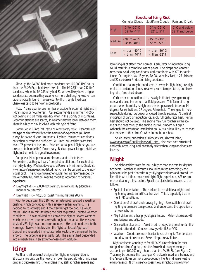

Although the PA-28R had more accidents per 100,000 IMC hours than the PA-28(F), it had fewer overall. The PA-28(F) had 242 IMC accidents, while the PA-28R only had 81. Arrows likely have a higher accident rate because they experience more challenging weather conditions typically found in cross-country flight, while fixed-gear Cherokees tend to be flown more locally.

Note: A disproportionate number of accidents occur at night and in IMC in mountainous terrain. ASF recommends a minimum 4,000 foot ceiling and 10 miles visibility when in the vicinity of mountains. Reporting stations are scarce, so weather may be lower between them. There is a higher risk involved with this type of flying.

Continued VFR into IMC remains a hot safety topic. Regardless of the type of aircraft you fly or the amount of experience you have, always be aware of your limitations. Fly into instrument conditions only when current and proficient. VFR into IMC accidents are fatal about 75 percent of the time. Practice partial panel flight so you are prepared to handle IMC if necessary. Backup power for gyro stabilized flight instruments is a good investment.

Compile a list of personal minimums, and stick to them. Remember that they will vary from pilot to pilot and, for each pilot, from day to day. FAA has developed a Personal Minimums Checklist, www.faa.gov/avr/news/checklst.pdf, which can be tailored to the individual pilot. The following weather guidelines, as recommended by the Air Safety Foundation, may be modified according to personal experience:

- $\checkmark$  Day/Night VFR 2,000-foot ceiling/5 miles visibility (double in mountainous terrain)
- $\checkmark$  Day/Night IFR 400/1 or lowest minimums plus 200/ ½

Prior to departure, the 230-hour private pilot received a weather briefing, which concluded with a severe weather warning. He decided to go anyway, and if the weather got too bad, he would return. About 16 minutes later, the pilot requested updated weather conditions. He was advised of a convective sigmet, severe weather watch, and active thunderstorms throughout the area. He was also advised VFR flight was not recommended. He continued despite the warnings. Twelve minutes later, the flight contacted Approach Control and requested immediate radar vectors to the nearest lighted airport. The target was eventually lost. The aircraft had descended into a marsh area in an extreme-nose-down attitude.

## **Icing:**

PA-28 aircraft were not designed for flight in icing conditions. Structural ice destroys the flow of air over the aircraft, which increases drag and decreases lift. The airplane may stall at higher speeds and

#### **Structural Icing Risk**

Cumulus Clouds Stratiform Clouds Rain and Drizzle

| High   | $0^{\circ}$ to -20 $^{\circ}$ C<br>$32^\circ$ to -4 $^\circ$ F | $0^\circ$ to -15 $^\circ$ C<br>$32^\circ$ to $5^\circ$ F      | $0^{\circ}$ C and below<br>$32^\circ$ F and below |
|--------|----------------------------------------------------------------|---------------------------------------------------------------|---------------------------------------------------|
| Medium | $-20^\circ$ to $-40^\circ$ C<br>$-4^\circ$ to $-40^\circ$ F    | $-15^\circ$ to $-30^\circ$ C<br>$5^\circ$ to $-22^\circ$ F    |                                                   |
| Low    | $\epsilon$ than -40 $^{\circ}$ C<br>$<$ than -40 $^{\circ}$ F  | $\epsilon$ than -30 $^{\circ}$ C<br>$<$ than -22 $^{\circ}$ F |                                                   |

lower angles of attack than normal. Carburetor or induction icing could result in a complete loss of power. Use pireps and weather reports to avoid icing conditions, and coordinate with ATC for assistance. During the past 18 years, PA-28s were involved in 27 airframe and 22 carburetor/induction icing accidents.

Conditions that may be conducive to severe in-flight icing are high moisture content in clouds, relatively warm temperatures, and freezing rain. (see chart above).

Carburetor or induction ice is usually indicated by engine roughness and a drop in rpm or manifold pressure. This form of icing occurs when humidity is high and the temperature is between 14 degrees Fahrenheit and 77 degrees Fahrenheit. The engine is more susceptible during low power or closed throttle settings. At the first indication of carb or induction ice, apply full carburetor heat. Partial heat should not be used. The engine may run rougher as the ice melts and goes through the engine, but will smooth out again. Although the carburetor installation on PA-28s is less likely to ice than that on some other aircraft, when in doubt, use heat.

The Air Safety Foundation's Safety Advisor, *Aircraft Icing*, www.aopa.org/asf/publications/sa11.html, discusses both structural and carburetor icing, and how to fly safely when icing conditions are forecast.

## **Night**

The night accident rate for IMC is higher than the rate for day IMC accidents. Weather minimums should be raised accordingly and pilots must be proficient with night flying techniques and procedures. For pilots with little or no recent night flight experience, ASF recommends dual night instruction. Specific subjects to be covered are as follows:

- $\checkmark$  Spatial disorientation The horizon is less visible at night, and lights may create an artificial horizon. This is especially true in night IFR conditions.
- $\checkmark$  Operation of aircraft and runway lighting  $\checkmark$  Use available aircraft lighting to be more conspicuous, and understand the operation of runway lighting.
- $\checkmark$  Night vision and other physiological issues Vision decreases with age, fatigue, and altitude.
- $\checkmark$  Obstruction clearance Avoid short runways and small unfamiliar airports after dark. Choose runways with ILS or VASI.
- $\checkmark$  Weather Clouds are much harder to see at night. Temperature and dew-point are closer. Fewer pireps are available.

Night accidents were higher for all PA-28 aircraft than for their comparison aircraft group, and the Arrow had many more night accidents per 100,000 night hours than the PA-28(F). (see Figure 7). That may be because the fixed-gear Cherokee is used as a trainer, and the Arrow is flown on more cross-country flights in diverse weather environments. Night currency doesn't equal night proficiency for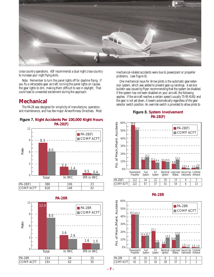

cross-country operations. ASF recommends a dual night cross-country to increase your night flying skills.

Note: Remember to turn the panel lights off for daytime flying. If you fly a retractable gear aircraft, turning the panel lights on causes the gear lights to dim, making them difficult to see in daylight. That could lead to unwanted excitement during the approach.

## **Mechanical**

The PA-28 was designed for simplicity of manufacture, operation, and maintenance, and has few major Airworthiness Directives. Most









mechanical-related accidents were due to powerplant or propeller problems. (see Figure 8).

One mechanical issue for Arrow pilots is the automatic gear-extension system, which was added to prevent gear-up landings. A service bulletin was issued by Piper recommending that the system be disabled. If the system has not been disabled on your aircraft, the following applies. If the aircraft reaches a certain speed (usually 75-95 KIAS) and the gear is not yet down, it lowers automatically regardless of the gear selector switch position. An override switch is provided to allow pilots to

#### **Figure 8. System Involvement PA-28(F)**





#### **PA-28R**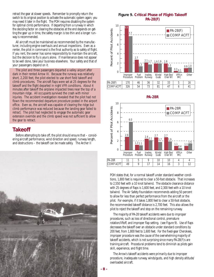retract the gear at slower speeds. Remember to promptly return the switch to its original position to activate the automatic system again; you may need it later in the flight. The POH requires disabling the system for optimal climb performance. If departing from a runway in which the deciding factor on clearing the obstacles at the end depends on getting the gear up in time, the safety margin is too thin and a longer runway is recommended.

All aircraft must be maintained as recommended by the manufacturer, including engine overhauls and annual inspections. Even as a renter, the pilot in command is the final authority as to safety of flight. If you rent, the owner has some responsibility to maintain the aircraft, but the decision to fly is yours alone. If maintenance does not appear to be well done, take your business elsewhere. Your safety and that of your passengers depend on it.

The pilot and three passengers departed a valley airport after dark in their rented Arrow III. Because the runway was relatively short, 2,200 feet, the pilot elected to use short field takeoff and climb procedures. The aircraft flaps were set at 25 degrees for the takeoff and the flight departed in night VFR conditions. About 4 minutes after takeoff the airplane impacted trees near the top of a mountain ridge. All occupants survived the crash with minor injuries. The accident investigation revealed that the pilot had not flown the recommended departure procedure posted in the airport office. Even so, the aircraft was capable of clearing the ridge but climb performance was reduced because the landing gear failed to retract. The pilot had neglected to engage the automatic gear extension override and the climb speed was not sufficient to allow the gear to retract.

#### **Takeoff**

Before attempting to take off, the pilot should ensure that – considering aircraft performance, wind direction and speed, runway length, and obstructions – the takeoff can be made safely. The Archer II



#### **Figure 9. Critical Phase of Flight–Takeoff PA-28(F)**







POH states that, for a normal takeoff under standard weather conditions, 1,800 feet is required to clear a 50-foot obstacle. That increases to 2,550 feet with a 10 knot tailwind. The obstacle clearance distance with 25 degrees of flaps is 1,600 feet, and 2,300 feet with a 10 knot tailwind. The Air Safety Foundation recommends adding 50 percent to allow for less than perfect performance from the aircraft or the pilot. For example, if it takes 1,800 feet to clear a 50-foot obstacle, the recommended takeoff distance is 2,700 feet. This also allows the pilot to reject the takeoff and stop on the remaining runway.

The majority of PA-28 takeoff accidents were due to improper procedures, such as loss of directional control, premature rotation/liftoff, and improper flap setting. (see Figure 9). Use of flaps decreases the takeoff over an obstacle under standard conditions by 200 feet, from 1,800 feet to 1,600 feet. For the fixed-gear Cherokees, improper procedure was the cause of the overwhelming majority of takeoff accidents, which is not surprising since many PA-28(F)s are training aircraft. Procedural problems tend to diminish as pilots gain skill, experience, and flight time.

The Arrow's takeoff accidents were primarily due to improper procedure, inadequate runway, winds/gusts, and high density altitude/ overloaded aircraft.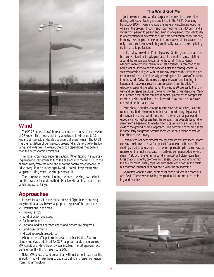

## **Wind**

The PA-28 series aircraft have a maximum demonstrated crosswind of 17 knots. This means that they were tested in winds up to 17 knots, but may actually be able to endure stronger winds. The PA-28 has the reputation of being a good crosswind airplane, due to the low wings and wide gear. However, the pilot's capabilities may be less than the aerodynamic limitations.

Taxiing in crosswinds requires caution. When taxiing in a quartering headwind, remember to turn the ailerons into the wind. Turn the ailerons away from the wind and move the control yoke forward, or "dive away," if in a quartering tailwind. That will keep the upwind wing from lifting when the wind pushes on it.

There are two crosswind landing methods, the wing low method and the crab, or kickout, method. Practice with an instructor to see which one works for you.

## **Approaches**

Prepare for arrival in the cruise phase of flight, *before* entering busy terminal areas. Review appropriate aspects of the approach:

- ✓ Obstructions in the area
- ✓ Runway lengths
- ✓ Wind direction and speed
- ✓ Radio frequencies
- ✓ Sectional and/or approach charts and airport taxi diagrams
- $\checkmark$  Landing minimums
- ✓ Missed approach procedures

When in the traffic pattern, be aware of other traffic. Scan constantly, and stay alert. Most PA-28(F) approach accidents occurred in VFR conditions, while the Arrow was involved in most approach accidents under IFR flight. (see Figure 10).

Note: VFR pilots should be familiar with instrument fixes near the airport. That will help them to visualize traffic and lessen confusion from IFR terminology.

#### **The Wind Got Me**

Just how much crosswind an airplane can tolerate is determined during certification testing and published in the Pilot's Operating Handbook (POH). Airplane accidents generally involve a pilot somewhere in the process, though, and how much wind a pilot can handle varies from person to person and, even in one person, from day to day. Pilot competency is determined during the certification checkride and, in many cases, begins to deteriorate immediately. Master aviators not only learn their lessons well, they continually practice to keep piloting skills honed to perfection.

Let's review how wind affects airplanes. On the ground, an airplane, be it conventional or tricycle gear, acts like a weather vane, rotating around the vertical axis to point into the wind. This tendency, although more pronounced in tailwheel airplanes, is common to all and pilots must know how to cope or suffer the consequences. A steady state wind aligned with the runway increases the airplane's performance with no control penalty, providing the pilot takes off or lands into the wind. Tailwinds increase airplane takeoff and landing distances and crosswinds require compensation from the pilot. The effect of crosswind is greatest when the wind is 90 degrees to the runway and decreases the closer the wind is to the runway heading. Many POHs contain taxi charts that depict control placement to compensate for various wind conditions, and all provide maximum demonstrated crosswind performance data.

Wind shear, a sudden change in wind direction or speed, is a common atmospheric phenomenon that has caused many airplane accidents over the years. Wind can shear in the horizontal plane and, especially in convective weather, the vertical. It is possible for wind to shear from a headwind to a tailwind or vice versa while an airplane is close to the ground on final approach. The headwind to tailwind shear is particularly dangerous because it can cause an airplane to stall or land short of the runway.

Terrain features near airports can generate impressive shear. Many runways are known to have "air pockets" at one or both ends. The sinking sensation pilots experience when approaching these runways is more often than not a decrease in headwind component due to wind shear. A study of the terrain around an airport will often reveal features that consistently promote wind shear. Local pilots familiar with the environment usually cope well with shear conditions at their field, but many an itinerant pilot has had a wild ride on short final.

No matter what the wind, pilots must cope or divert to a more suitable field. The secrets to coping are good initial and recurrent training, and practice.

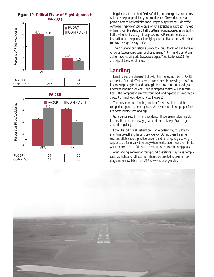





8



Regular practice of short field, soft field, and emergency procedures will increase pilot proficiency and confidence. Towered airports are prime places to be faced with various types of approaches. Air traffic controllers may clear you to base, or for a straight-in approach, instead of having you fly a standard traffic pattern. At nontowered airports, IFR traffic will often fly straight-in approaches. ASF recommends dual instruction for new pilots before flying at unfamiliar airports with short runways or high density traffic.

The Air Safety Foundation's Safety Advisors, *Operations at Towered Airports* (www.aopa.org/asf/publications/sa07.html) and *Operations at Nontowered Airports* (www.aopa.org/asf/publications/sa08.html) are helpful tools for all pilots.

## **Landing**

Landing was the phase of flight with the highest number of PA-28 accidents. Ground effect is more pronounced in low wing aircraft so it's not surprising that landing long is the most common fixed-gear Cherokee landing problem. Precise airspeed control will minimize float. The comparison aircraft group had landing accidents mostly as a result of hard touchdowns. (see Figure 11).

The most common landing problem for Arrow pilots and the comparison group is landing hard. Airspeed control and proper flare are necessary for soft landings.

Go-arounds result in many accidents. If you are not down safely in the first third of the runway, go around immediately. Practice goarounds regularly.

Note: Periodic dual instruction is an excellent way for pilots to maintain takeoff and landing proficiency. During these training sessions pilots should practice takeoffs and landings at gross weight. Airplanes perform very differently when loaded at or near their limits. ASF recommends a "full load" checkout for all transitioning pilots.

After landing, remember that ground operations may be as complicated as flight and full attention should be devoted to taxiing. Taxi diagrams are available from ASF at www.aopa.org/asf/taxi.

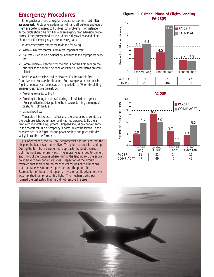## **Emergency Procedures**

Emergencies are rare so regular practice is recommended. **Be prepared**. Pilots who are familiar with aircraft systems and equipment are better prepared to troubleshoot problems. For instance, Arrow pilots should be familiar with emergency gear extension procedures. Emergency checklists should be readily available and pilots should practice emergency procedures regularly.

In any emergency, remember to do the following:

- ✓ Aviate Aircraft control is the most important task.
- $\checkmark$  Navigate Decide on a destination, and turn to the appropriate heading.
- $\checkmark$  Communicate Reaching for the mic is not the first item on the priority list and should be done only after all other items are completed.

Don't let a distraction lead to disaster. Fly the aircraft first. Prioritize and evaluate the situation. For example, an open door in flight is not nearly as serious as an engine failure. When simulating emergencies, reduce the risk by:

- ✓ Avoiding low altitude flight
- ✓ Avoiding disabling the aircraft during a simulated emergency. (Poor practice includes pulling the mixture, turning the mags off, or shutting off the fuel.)
- ✓ Using checklists

The accident below occurred because the pilot failed to conduct a thorough preflight examination and was not prepared to fly the aircraft with inoperative equipment. Airspeed should be checked early in the takeoff roll. If a discrepancy is noted, reject the takeoff. If the problem occurs in flight, routine power settings and pitch attitudes will yield routine performance.

Just after takeoff, the 560-hour commercial pilot noticed that the airspeed indicator was inoperative. The pilot returned for landing. During the turn from base to final approach, the pilot overshot both the right and left runways. The aircraft was landed to the left and short of the runways where, during the landing roll, the aircraft collided with two parked vehicles. Inspection of the aircraft revealed that there were no mechanical failures or malfunctions, but duct tape was found wrapped around the pitot tube. Examination of the aircraft logbooks revealed a pitot/static test was accomplished just prior to this flight. The mechanic who performed the test stated that he did not remove the tape.

**Figure 11. Critical Phase of Flight–Landing PA-28(F)**







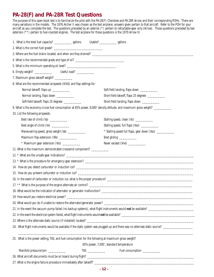## **PA-28(F) and PA-28R Test Questions**

The purpose of this open-book test is to familiarize the pilot with the PA-28(F) Cherokee and PA-28R Arrow, and their corresponding POHs. There are many variations in the models. The 1976 Archer II was chosen as the test airplane; answers given pertain to that aircraft. Refer to the POH for your aircraft as you complete the test. The questions preceded by an asterisk (\*) pertain to retractable-gear only (Arrow). Those questions preceded by two asterisks (\*\*) pertain to fuel-injected engines. The test airplane for those questions is the 1979 Arrow IV.

| 1. What is the total fuel capacity? _________________ gallons                                       |  |  | Usable? ________________ gallons                                                                                |  |  |  |
|-----------------------------------------------------------------------------------------------------|--|--|-----------------------------------------------------------------------------------------------------------------|--|--|--|
|                                                                                                     |  |  |                                                                                                                 |  |  |  |
|                                                                                                     |  |  |                                                                                                                 |  |  |  |
| 4. What is the recommended grade and type of oil? ______________________________                    |  |  |                                                                                                                 |  |  |  |
|                                                                                                     |  |  |                                                                                                                 |  |  |  |
|                                                                                                     |  |  |                                                                                                                 |  |  |  |
| 7. Maximum gross takeoff weight? ____________                                                       |  |  |                                                                                                                 |  |  |  |
| 8. What are the recommended airspeeds (KIAS) and flap settings for:                                 |  |  |                                                                                                                 |  |  |  |
| Normal takeoff, flaps up ____________                                                               |  |  | Soft-field landing, flaps down ____________                                                                     |  |  |  |
| Normal landing, flaps down ___________                                                              |  |  | Short-field takeoff, flaps 25 degrees ___________                                                               |  |  |  |
| Soft-field takeoff, flaps 25 degrees ____________                                                   |  |  | Short-field landing, flaps down ____________                                                                    |  |  |  |
|                                                                                                     |  |  | 9. What is the economy cruise fuel consumption at 65% power, 8,000' density altitude, and maximum gross weight? |  |  |  |
| 10. List the following airspeeds:                                                                   |  |  |                                                                                                                 |  |  |  |
| Best rate of climb (Vy) ___________                                                                 |  |  | Stalling speed, clean (Vs) ___________                                                                          |  |  |  |
| Best angle of climb (Vx) ___________                                                                |  |  | Stalling speed, full flaps (Vso) ____________                                                                   |  |  |  |
| Maneuvering speed, gross weight (Va) ___________                                                    |  |  | * Stalling speed full flaps, gear down (Vso) ____________                                                       |  |  |  |
| Maximum flap extension (Vfe) ____________                                                           |  |  | Best gliding _____________                                                                                      |  |  |  |
| * Maximum gear extension (VIo) ____________                                                         |  |  | Never exceed (Vne) ___________                                                                                  |  |  |  |
| 11. What is the maximum demonstrated crosswind component? ____________                              |  |  |                                                                                                                 |  |  |  |
|                                                                                                     |  |  |                                                                                                                 |  |  |  |
|                                                                                                     |  |  |                                                                                                                 |  |  |  |
|                                                                                                     |  |  |                                                                                                                 |  |  |  |
|                                                                                                     |  |  |                                                                                                                 |  |  |  |
|                                                                                                     |  |  |                                                                                                                 |  |  |  |
|                                                                                                     |  |  |                                                                                                                 |  |  |  |
|                                                                                                     |  |  |                                                                                                                 |  |  |  |
|                                                                                                     |  |  |                                                                                                                 |  |  |  |
|                                                                                                     |  |  |                                                                                                                 |  |  |  |
|                                                                                                     |  |  |                                                                                                                 |  |  |  |
|                                                                                                     |  |  |                                                                                                                 |  |  |  |
|                                                                                                     |  |  |                                                                                                                 |  |  |  |
|                                                                                                     |  |  |                                                                                                                 |  |  |  |
| 25. What is the power setting, TAS, and fuel consumption for the following at maximum gross weight? |  |  |                                                                                                                 |  |  |  |
|                                                                                                     |  |  | 65% power, 7,000', standard temperature                                                                         |  |  |  |
| Manifold pressure/rpm ___________                                                                   |  |  | Fuel consumption ___________                                                                                    |  |  |  |
|                                                                                                     |  |  |                                                                                                                 |  |  |  |
|                                                                                                     |  |  |                                                                                                                 |  |  |  |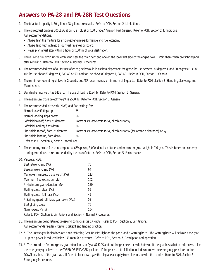## **Answers to PA-28 and PA-28R Test Questions**

- 1. The total fuel capacity is 50 gallons; 48 gallons are usable. Refer to POH, Section 2, Limitations.
- 2. The correct fuel grade is 100LL Aviation Fuel (blue) or 100 Grade A Aviation Fuel (green). Refer to POH, Section 2, Limitations. ASF recommendations:
	- Always lean the mixture for improved engine performance and fuel economy.
	- Always land with at least 1 hour fuel reserves on board.
	- Never plan a fuel stop within 1 hour or 100nm of your destination.
- 3. There is one fuel drain under each wing near the main gear and one on the lower left side of the engine cowl. Drain them when preflighting and after refueling. Refer to POH, Section 4, Normal Procedures.
- 4. The recommended type of oil for use after engine break-in is ashless dispersant; the grade for use between 30 degrees F and 90 degrees F is SAE 40; for use above 60 degrees F, SAE 40 or 50; and for use above 80 degrees F, SAE 60. Refer to POH, Section 1, General.
- 5. The minimum operating oil level is 2 quarts, but ASF recommends a minimum of 6 quarts. Refer to POH, Section 8, Handling, Servicing, and Maintenance.
- 6. Standard empty weight is 1416 lb. The useful load is 1134 lb. Refer to POH, Section 1, General.
- 7. The maximum gross takeoff weight is 2550 lb. Refer to POH, Section 1, General.
- 8. The recommended airspeeds (KIAS) and flap settings for:

| Normal takeoff, flaps up:                   | 65                                                                             |  |  |  |
|---------------------------------------------|--------------------------------------------------------------------------------|--|--|--|
| Normal landing, flaps down:                 | 66                                                                             |  |  |  |
| Soft-field takeoff, flaps 25 degrees:       | Rotate at 49, accelerate to 54, climb out at Vy                                |  |  |  |
| Soft-field landing, flaps down:             | 66                                                                             |  |  |  |
| Short-field takeoff, flaps 25 degrees:      | Rotate at 49, accelerate to 54, climb out at Vx (for obstacle clearance) or Vy |  |  |  |
| Short-field landing, flaps down:            | 66                                                                             |  |  |  |
| Refer to POH, Section 4, Normal Procedures. |                                                                                |  |  |  |

- 9. The economy cruise fuel consumption at 65% power, 8,000' density altitude, and maximum gross weight is 7.6 gph. This is based on economy leaning procedures as recommended by the manufacturer. Refer to POH, Section 5, Performance.
- 10. V speeds, KIAS:

| Best rate of climb (Vy)                      | 76  |
|----------------------------------------------|-----|
| Beset angle of climb (Vx)                    | 64  |
| Maneuvering speed, gross weight (Va)         | 113 |
| Maximum flap extension (Vfe)                 | 102 |
| * Maximum gear extension (Vlo)               | 130 |
| Stalling speed, clean (Vs)                   | 55  |
| Stalling speed, full flaps (Vso)             | 49  |
| * Stalling speed full flaps, gear down (Vso) | 53  |
| Best gliding speed                           | 76  |
| Never exceed (Vne)                           | 154 |

Refer to POH, Section 2, Limitations and Section 4, Normal Procedures.

- 11. The maximum demonstrated crosswind component is 17 knots. Refer to POH, Section 2, Limitations. ASF recommends regular crosswind takeoff and landing practice.
- 12. \* The unsafe gear indications are a red "Warning Gear Unsafe" light on the panel and a warning horn. The warning horn will activate if the gear is up and power is reduced below 14" manifold pressure. Refer to POH, Section 7, Description and operation.
- 13. \* The procedure for emergency gear extension is to fly at 87 KIAS and put the gear selector switch down. If the gear has failed to lock down, raise the emergency gear lever to the OVERRIDE ENGAGED position. If the gear has still failed to lock down, move the emergency gear lever to the DOWN position. If the gear has still failed to lock down, yaw the airplane abruptly from side to side with the rudder. Refer to POH, Section 3, Emergency Procedures.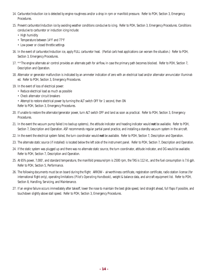- 14. Carburetor/induction ice is detected by engine roughness and/or a drop in rpm or manifold pressure. Refer to POH, Section 3, Emergency Procedures.
- 15. Prevent carburetor/induction ice by avoiding weather conditions conducive to icing. Refer to POH, Section 3, Emergency Procedures. Conditions conducive to carburetor or induction icing include:
	- High humidity
	- Temperature between 14°F and 77°F
	- Low power or closed throttle settings
- 16. In the event of carburetor/induction ice, apply FULL carburetor heat. (Partial carb heat applications can worsen the situation.) Refer to POH, Section 3, Emergency Procedures.
- 17. \*\*The engine alternate air control provides an alternate path for airflow, in case the primary path becomes blocked. Refer to POH, Section 7, Description and Operation.
- 18. Alternator or generator malfunction is indicated by an ammeter indication of zero with an electrical load and/or alternator annunciator illuminated. Refer to POH, Section 3, Emergency Procedures.
- 19. In the event of loss of electrical power:
	- Reduce electrical load as much as possible
	- Check alternator circuit breakers
	- Attempt to restore electrical power by turning the ALT switch OFF for 1 second, then ON
	- Refer to POH, Section 3, Emergency Procedures.
- 20. If unable to restore the alternator/generator power, turn ALT switch OFF and land as soon as practical. Refer to POH, Section 3, Emergency Procedures.
- 21. In the event the vacuum pump failed (no backup systems), the attitude indicator and heading indicator would **not** be available. Refer to POH, Section 7, Description and Operation. ASF recommends regular partial panel practice, and installing a standby vacuum system in the aircraft.
- 22. In the event the electrical system failed, the turn coordinator would **not** be available. Refer to POH, Section 7, Description and Operation.
- 23. The alternate static source (if installed) is located below the left side of the instrument panel. Refer to POH, Section 7, Description and Operation.
- 24. If the static system was plugged up and there was no alternate static source, the turn coordinator, attitude indicator, and DG would be available. Refer to POH, Section 7, Description and Operation.
- 25. At 65% power, 7,000', and standard temperature, the manifold pressure/rpm is 2500 rpm, the TAS is 112 kt., and the fuel consumption is 7.6 gph. Refer to POH, Section 5, Performance.
- 26. The following documents must be on board during the flight: ARROW airworthiness certificate, registration certificate, radio station license (for international flight only), operating limitations (*Pilot's Operating Handbook*), weight & balance data, and aircraft equipment list. Refer to POH, Section 8, Handling, Servicing, and Maintenance.
- 27. If an engine failure occurs immediately after takeoff, lower the nose to maintain the best glide speed, land straight ahead, full flaps if possible, and touchdown slightly above stall speed. Refer to POH, Section 3, Emergency Procedures.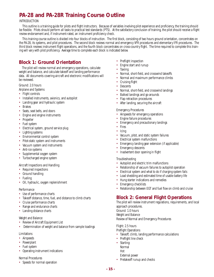## **PA-28 and PA-28R Training Course Outline**

#### INTRODUCTION

This outline is a training guide for pilots and flight instructors. Because of variables involving pilot experience and proficiency, the training should be flexible. Pilots should perform all tasks to practical test standards (PTS). At the satisfactory conclusion of training, the pilot should receive a flight review endorsement and, if instrument-rated, an instrument proficiency check.

This training course outline is divided into four blocks of instruction. The first block, consisting of two hours ground orientation, concentrates on the PA-28, its systems, and pilot procedures. The second block reviews normal and emergency VFR procedures and elementary IFR procedures. The third block reviews instrument flight operations, and the fourth block concentrates on cross-country flight. The time required to complete this training will vary with pilot proficiency. Average time to complete each block is indicated below.

## **Block 1: Ground Orientation**

The pilot will review normal and emergency operations, calculate weight and balance, and calculate takeoff and landing performance data. All documents covering aircraft and electronic modifications will be reviewed.

Ground: 2.0 hours

Airplane and Systems

- Flight controls
- Installed instruments, avionics, and autopilot
- Landing gear and hydraulic system
- Brakes
- Seats, seat belts, and doors
- Engine and engine instruments
- Propeller
- Fuel system
- Electrical system, ground service plug
- Lighting systems
- Environmental control system
- Pitot-static system and instruments
- Vacuum system and instruments
- Anti-ice systems
- Supplemental oxygen system
- Turbocharged engine system

Aircraft Inspections and Handling

- Required inspections
- Ground handling
- Fueling
- Oil, hydraulic, oxygen replenishment

#### **Performance**

- Use of performance charts
- Takeoff distance, time, fuel, and distance to climb charts
- Cruise performance charts
- Range and endurance charts
- Landing distance charts

#### Weight and Balance

- Review of Aircraft Equipment List
- Determination of weight and balance from sample loadings

#### Limitations

- Airspeeds
- Powerplant
- Fuel system
- Operating instrument indications

#### Normal Procedures

• Speeds for normal operation

- Preflight inspection
- Engine start and runup
- Taxiing
- Normal, short-field, and crosswind takeoffs
- Normal and maximum performance climbs
- Cruising flight
- Descents
- Normal, short-field, and crosswind landings
- Balked landings and go-arounds
- Flap retraction procedures
- After landing, securing the aircraft

#### Emergency Procedures

- Airspeeds for emergency operations
- Engine failure procedures
- Emergency and precautionary landings
- Fires
- Icing
- Vacuum, pitot, and static system failures
- Electrical system malfunctions
- Emergency landing gear extension (if applicable)
- Emergency descents
- Inadvertent door opening in flight

#### Troubleshooting

- Autopilot and electric trim malfunctions
- Relationship of vacuum failures to autopilot operation
- Electrical system and what to do if charging system fails
- Load shedding and estimated time of usable battery life
- Hung starter indications and remedies
- Emergency checklists
- Relationship between EGT and fuel flow on climb and cruise

## **Block 2: General Flight Operations**

The pilot will review instrument regulations, requirements, and local approach procedures. Ground: 1.0 hours Weight and Balance Review of Normal and Emergency Procedures

Flight: 2.5 hours

- Preflight Operations
- Takeoff, climb, landing performance calculations
- Preflight line check
- Starting: Normal
- Hot
- External power
- Pretakeoff runup and checks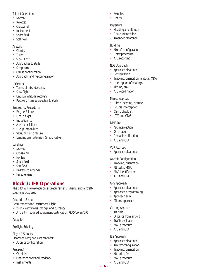Takeoff Operations

- Normal
- Rejected
- Crosswind
- Instrument
- Short field
- Soft field

#### Airwork

- Climbs
- Turns
- Slow Flight
- Approaches to stalls
- Steep turns
- Cruise configuration
- Approach/landing configuration

#### Instrument

- Turns, climbs, descents
- Slow flight
- Unusual attitude recovery
- Recovery from approaches to stalls

#### Emergency Procedures

- Engine Failure
- Fire in flight
- Induction ice
- Alternator failure
- Fuel pump failure
- Vacuum pump failure
- Landing gear extension (if applicable)

#### Landings

- Normal
- Crosswind
- No flap
- Short field
- Soft field
- Balked (go around)
- Failed engine

## **Block 3: IFR Operations**

The pilot will review equipment requirements, charts, and aircraftspecific procedures.

#### Ground: 1.5 hours

Requirements for Instrument Flight

- Pilot certificates, ratings, and currency
- Aircraft required equipment certification RNAV/Loran/GPS

#### Autopilot

#### Preflight Briefing

Flight: 1.5 hours

Clearance copy, accurate readback

• Avionics configuration

#### Pretakeoff

- Checklist
- Clearance copy and readback
- Instruments
- Avionics
- Charts

#### Departure

- Heading and altitude
- Route interception
- Amended clearance

#### Holding

- Aircraft configuration
- Entry procedure
- ATC reporting

#### NDB Approach

- Approach clearance
- Configuration
- Tracking, orientation, altitude, MDA
- Interception of bearings
- Timing, MAP
- ATC coordination

#### Missed Approach

- Climb, heading, altitude
- Course interception
- Climb checklist
- ATC and CTAF

#### DME Arc

- Arc interception
- Orientation
- Radial identification
- ATC and CTAF

#### VOR Approach

• Approach clearance

#### Aircraft Configuration

- Tracking, orientation
- Altitudes, MDA
- MAP identification
- ATC and CTAF

#### GPS Approach

- Approach clearance
- Approach programming
- Approach arm
- Missed approach

#### Circling Approach

- Altitude
- Distance from airport
- Traffic avoidance
- MAP procedure
- ATC and CTAF

#### ILS Approach

**- 16 -**

- Approach clearance
- Aircraft configuration
- Tracking, orientation • Altitudes, DH

• MAP procedure • ATC and CTAF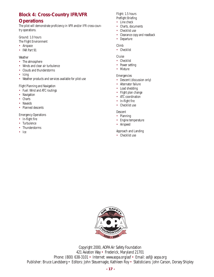## **Block 4: Cross-Country IFR/VFR**

## **Operations**

The pilot will demonstrate proficiency in VFR and/or IFR cross-country operations.

Ground: 1.0 hours

- The Flight Environment
- Airspace
- FAR Part 91

Weather

- The atmosphere
- Winds and clear air turbulence
- Clouds and thunderstorms
- Icing
- Weather products and services available for pilot use

Flight Planning and Navigation

- Fuel: Wind and ATC routings
- Navigation
- Charts
- Navaids
- Planned descents

Emergency Operations

- In-flight fire
- Turbulence
- Thunderstorms
- Ice

Flight: 1.5 hours Preflight Briefing

- Line check
- Charts, documents
- Checklist use
- Clearance copy and readback

• Departure

#### Climb

• Checklist

Cruise

- Checklist
- Power setting
- Mixture

#### Emergencies

- Descent (discussion only)
- Alternator failure
- Load shedding
- Flight plan change
- ATC coordination
- In-flight fire
- Checklist use

#### Descent

- Planning
- Engine temperature
- Airspeed

#### Approach and Landing

• Checklist use



Copyright 2000, AOPA Air Safety Foundation 421 Aviation Way • Frederick, Maryland 21701 Phone: (800) 638-3101 • Internet: www.aopa.org/asf • Email: asf@aopa.org Publisher: Bruce Landsberg • Editors: John Steuernagle, Kathleen Roy • Statisticians: John Carson, Dorsey Shipley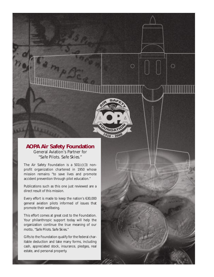

O

 $\circ$ 

### **AOPA Air Safety Foundation** General Aviation's Partner for *"Safe Pilots. Safe Skies."*

The Air Safety Foundation is a 501(c)(3) nonprofit organization chartered in 1950 whose mission remains "to save lives and promote accident prevention through pilot education."

Publications such as this one just reviewed are a direct result of this mission.

Every effort is made to keep the nation's 630,000 general aviation pilots informed of issues that promote their wellbeing.

This effort comes at great cost to the Foundation. Your philanthropic support today will help the organization continue the true meaning of our motto, "*Safe Pilots. Safe Skies.*"

Gifts to the Foundation qualify for the federal charitable deduction and take many forms, including cash, appreciated stock, insurance, pledges, real estate, and personal property.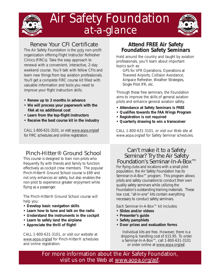

## Air Safety Foundation *at-a-glance*



## Renew Your CFI Certificate

The Air Safety Foundation is the only non-profit organization offering Flight Instructor Refresher Clinics (FIRCs). Take the easy approach to renewal with a convenient, interactive, 2-day weekend course. You'll talk with fellow CFIs and learn new things from top aviation professionals. You'll get a complete FIRC course kit filled with valuable information and tools you need to improve your flight instruction skills.

- **Renew up to 3 months in advance**
- **We will process your paperwork with the FAA at no additional cost**
- **Learn from the top-flight instructors**
- **Receive the best course kit in the industry**

CALL 1-800-631-3101, or visit www.aopa.org/asf for FIRC schedules and online registration.

## Pinch-Hitter® Ground School

This course is designed to train non-pilots who frequently fly with friends and family to function effectively as cockpit crew members. The popular Pinch-Hitter® Ground School course is \$99 and not only enhances air safety, but also enables the non-pilot to experience greater enjoyment while flying as a passenger.

The Pinch-Hitter® Ground School course will help you:

- **Develop basic navigation skills**
- **Learn how to tune and talk on the radio**
- **Understand the instruments in the cockpit**
- **Learn to safely land the airplane**
- **Appreciate the thrill of flight!**

CALL 1-800-631-3101, or visit our website at www.aopa.org/asf for Pinch-Hitter® schedules and online registration.

## **Attend FREE Air Safety Foundation Safety Seminars**

Held around the country and taught by aviation professionals, you'll learn about important topics such as:

GPS for VFR Operations, Operations at Towered Airports, Collision Avoidance, Airspace Refresher, Weather Strategies, Single Pilot IFR, etc.

Through these free seminars, the Foundation aims to improve the skills of general aviation pilots and enhance general aviation safety.

- **Attendance at Safety Seminars is FREE**
- **Qualifies towards the FAA Wings Program**
- **Registration is not required**
- **Quarterly drawing to win a transceiver**

CALL 1-800-631-3101, or visit our Web site at www.aopa.org/asf for Safety Seminar schedules.

## Can't make it to a Safety Seminar? Try the Air Safety Foundation's Seminar-In-A-Box™

For flying clubs and locations with a small pilot population, the Air Safety Foundation has its Seminar-in-A-Box<sup>™</sup> program. This program allows pilots and safety counselors to conduct their own quality safety seminars while utilizing the Foundation's outstanding training materials. These low cost, "all-in-one" kits contain everything necessary to conduct safety seminars.

Each Seminar-In-A-Box™ kit includes:

- **Slides and/or videos**
- **Presenter's guide**
- **Safety pamphlets**
- **Door prizes and evaluation forms**

Individual kits are free. However, there is a shipping & handling cost of \$15.95. To order a Seminar-In-A-Box™, call 1-800-631-3101 or order online at www.aopa.org/asf.

For more information about the Air Safety Foundation, visit us on the Web at www.aopa.org/asf.